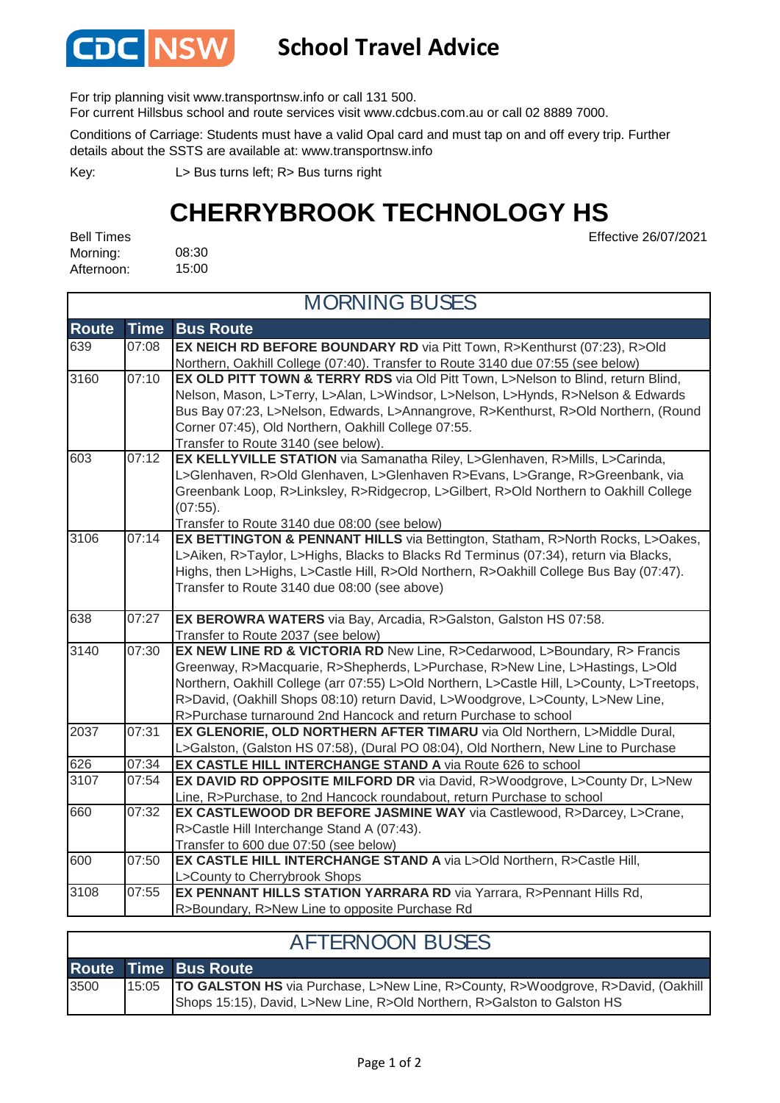

## **School Travel Advice**

For trip planning visit www.transportnsw.info or call 131 500.

For current Hillsbus school and route services visit www.cdcbus.com.au or call 02 8889 7000.

Conditions of Carriage: Students must have a valid Opal card and must tap on and off every trip. Further details about the SSTS are available at: www.transportnsw.info

L> Bus turns left; R> Bus turns right Key:

## **CHERRYBROOK TECHNOLOGY HS**

08:30 15:00 Bell Times Morning: Afternoon:

Effective 26/07/2021

| <b>MORNING BUSES</b> |                |                                                                                                                                                             |  |  |
|----------------------|----------------|-------------------------------------------------------------------------------------------------------------------------------------------------------------|--|--|
| <b>Route</b>         | <b>Time</b>    | <b>Bus Route</b>                                                                                                                                            |  |  |
| 639                  | 07:08          | EX NEICH RD BEFORE BOUNDARY RD via Pitt Town, R>Kenthurst (07:23), R>Old<br>Northern, Oakhill College (07:40). Transfer to Route 3140 due 07:55 (see below) |  |  |
| 3160                 | 07:10          | EX OLD PITT TOWN & TERRY RDS via Old Pitt Town, L>Nelson to Blind, return Blind,                                                                            |  |  |
|                      |                | Nelson, Mason, L>Terry, L>Alan, L>Windsor, L>Nelson, L>Hynds, R>Nelson & Edwards                                                                            |  |  |
|                      |                | Bus Bay 07:23, L>Nelson, Edwards, L>Annangrove, R>Kenthurst, R>Old Northern, (Round                                                                         |  |  |
|                      |                | Corner 07:45), Old Northern, Oakhill College 07:55.                                                                                                         |  |  |
|                      |                | Transfer to Route 3140 (see below).                                                                                                                         |  |  |
| 603                  | 07:12          | EX KELLYVILLE STATION via Samanatha Riley, L>Glenhaven, R>Mills, L>Carinda,                                                                                 |  |  |
|                      |                | L>Glenhaven, R>Old Glenhaven, L>Glenhaven R>Evans, L>Grange, R>Greenbank, via                                                                               |  |  |
|                      |                | Greenbank Loop, R>Linksley, R>Ridgecrop, L>Gilbert, R>Old Northern to Oakhill College<br>$(07:55)$ .                                                        |  |  |
|                      |                | Transfer to Route 3140 due 08:00 (see below)                                                                                                                |  |  |
| 3106                 | 07:14          | EX BETTINGTON & PENNANT HILLS via Bettington, Statham, R>North Rocks, L>Oakes,                                                                              |  |  |
|                      |                | L>Aiken, R>Taylor, L>Highs, Blacks to Blacks Rd Terminus (07:34), return via Blacks,                                                                        |  |  |
|                      |                | Highs, then L>Highs, L>Castle Hill, R>Old Northern, R>Oakhill College Bus Bay (07:47).                                                                      |  |  |
|                      |                | Transfer to Route 3140 due 08:00 (see above)                                                                                                                |  |  |
|                      |                |                                                                                                                                                             |  |  |
| 638                  | 07:27          | EX BEROWRA WATERS via Bay, Arcadia, R>Galston, Galston HS 07:58.                                                                                            |  |  |
|                      |                | Transfer to Route 2037 (see below)                                                                                                                          |  |  |
| 3140                 | 07:30          | EX NEW LINE RD & VICTORIA RD New Line, R>Cedarwood, L>Boundary, R> Francis                                                                                  |  |  |
|                      |                | Greenway, R>Macquarie, R>Shepherds, L>Purchase, R>New Line, L>Hastings, L>Old                                                                               |  |  |
|                      |                | Northern, Oakhill College (arr 07:55) L>Old Northern, L>Castle Hill, L>County, L>Treetops,                                                                  |  |  |
|                      |                | R>David, (Oakhill Shops 08:10) return David, L>Woodgrove, L>County, L>New Line,                                                                             |  |  |
|                      |                | R>Purchase turnaround 2nd Hancock and return Purchase to school                                                                                             |  |  |
| 2037                 | 07:31          | EX GLENORIE, OLD NORTHERN AFTER TIMARU via Old Northern, L>Middle Dural,                                                                                    |  |  |
|                      |                | L>Galston, (Galston HS 07:58), (Dural PO 08:04), Old Northern, New Line to Purchase                                                                         |  |  |
| 626<br>3107          | 07:34<br>07:54 | EX CASTLE HILL INTERCHANGE STAND A via Route 626 to school                                                                                                  |  |  |
|                      |                | EX DAVID RD OPPOSITE MILFORD DR via David, R>Woodgrove, L>County Dr, L>New                                                                                  |  |  |
| 660                  | 07:32          | Line, R>Purchase, to 2nd Hancock roundabout, return Purchase to school<br>EX CASTLEWOOD DR BEFORE JASMINE WAY via Castlewood, R>Darcey, L>Crane,            |  |  |
|                      |                | R>Castle Hill Interchange Stand A (07:43).                                                                                                                  |  |  |
|                      |                | Transfer to 600 due 07:50 (see below)                                                                                                                       |  |  |
| 600                  | 07:50          | EX CASTLE HILL INTERCHANGE STAND A via L>Old Northern, R>Castle Hill,                                                                                       |  |  |
|                      |                | L>County to Cherrybrook Shops                                                                                                                               |  |  |
| 3108                 | 07:55          | EX PENNANT HILLS STATION YARRARA RD via Yarrara, R>Pennant Hills Rd,                                                                                        |  |  |
|                      |                | R>Boundary, R>New Line to opposite Purchase Rd                                                                                                              |  |  |

| <b>AFTERNOON BUSES</b> |  |                                                                                                                                                                      |  |  |
|------------------------|--|----------------------------------------------------------------------------------------------------------------------------------------------------------------------|--|--|
|                        |  | <b>Route Time Bus Route</b>                                                                                                                                          |  |  |
| 3500                   |  | 15:05   TO GALSTON HS via Purchase, L>New Line, R>County, R>Woodgrove, R>David, (Oakhill<br>Shops 15:15), David, L>New Line, R>Old Northern, R>Galston to Galston HS |  |  |